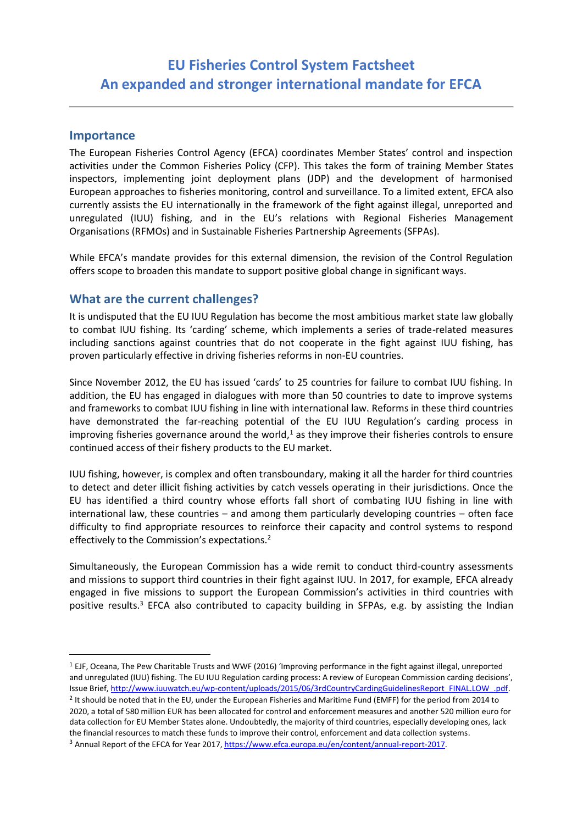# **EU Fisheries Control System Factsheet An expanded and stronger international mandate for EFCA**

### **Importance**

The European Fisheries Control Agency (EFCA) coordinates Member States' control and inspection activities under the Common Fisheries Policy (CFP). This takes the form of training Member States inspectors, implementing joint deployment plans (JDP) and the development of harmonised European approaches to fisheries monitoring, control and surveillance. To a limited extent, EFCA also currently assists the EU internationally in the framework of the fight against illegal, unreported and unregulated (IUU) fishing, and in the EU's relations with Regional Fisheries Management Organisations (RFMOs) and in Sustainable Fisheries Partnership Agreements (SFPAs).

While EFCA's mandate provides for this external dimension, the revision of the Control Regulation offers scope to broaden this mandate to support positive global change in significant ways.

### **What are the current challenges?**

It is undisputed that the EU IUU Regulation has become the most ambitious market state law globally to combat IUU fishing. Its 'carding' scheme, which implements a series of trade-related measures including sanctions against countries that do not cooperate in the fight against IUU fishing, has proven particularly effective in driving fisheries reforms in non-EU countries.

Since November 2012, the EU has issued 'cards' to 25 countries for failure to combat IUU fishing. In addition, the EU has engaged in dialogues with more than 50 countries to date to improve systems and frameworks to combat IUU fishing in line with international law. Reforms in these third countries have demonstrated the far-reaching potential of the EU IUU Regulation's carding process in improving fisheries governance around the world, $<sup>1</sup>$  as they improve their fisheries controls to ensure</sup> continued access of their fishery products to the EU market.

IUU fishing, however, is complex and often transboundary, making it all the harder for third countries to detect and deter illicit fishing activities by catch vessels operating in their jurisdictions. Once the EU has identified a third country whose efforts fall short of combating IUU fishing in line with international law, these countries – and among them particularly developing countries – often face difficulty to find appropriate resources to reinforce their capacity and control systems to respond effectively to the Commission's expectations.<sup>2</sup>

Simultaneously, the European Commission has a wide remit to conduct third-country assessments and missions to support third countries in their fight against IUU. In 2017, for example, EFCA already engaged in five missions to support the European Commission's activities in third countries with positive results.<sup>3</sup> EFCA also contributed to capacity building in SFPAs, e.g. by assisting the Indian

 <sup>1</sup> EJF, Oceana, The Pew Charitable Trusts and WWF (2016) 'Improving performance in the fight against illegal, unreported and unregulated (IUU) fishing. The EU IUU Regulation carding process: A review of European Commission carding decisions', Issue Brief, http://www.iuuwatch.eu/wp-content/uploads/2015/06/3rdCountryCardingGuidelinesReport\_FINAL.LOW\_.pdf.

 $2$  It should be noted that in the EU, under the European Fisheries and Maritime Fund (EMFF) for the period from 2014 to 2020, a total of 580 million EUR has been allocated for control and enforcement measures and another 520 million euro for data collection for EU Member States alone. Undoubtedly, the majority of third countries, especially developing ones, lack the financial resources to match these funds to improve their control, enforcement and data collection systems. <sup>3</sup> Annual Report of the EFCA for Year 2017, https://www.efca.europa.eu/en/content/annual-report-2017.